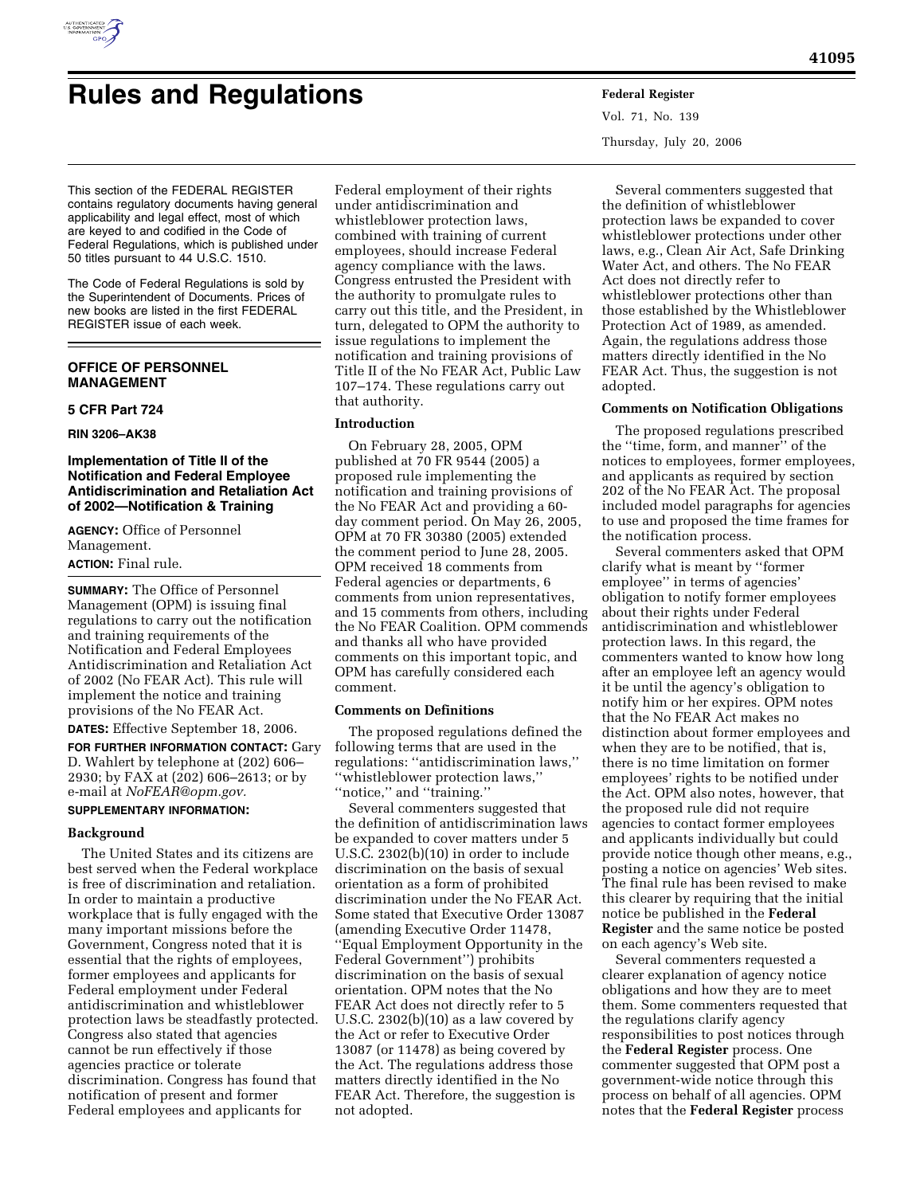

# **Rules and Regulations Federal Register**

Vol. 71, No. 139 Thursday, July 20, 2006

This section of the FEDERAL REGISTER contains regulatory documents having general applicability and legal effect, most of which are keyed to and codified in the Code of Federal Regulations, which is published under 50 titles pursuant to 44 U.S.C. 1510.

The Code of Federal Regulations is sold by the Superintendent of Documents. Prices of new books are listed in the first FEDERAL REGISTER issue of each week.

# **OFFICE OF PERSONNEL MANAGEMENT**

# **5 CFR Part 724**

**RIN 3206–AK38** 

# **Implementation of Title II of the Notification and Federal Employee Antidiscrimination and Retaliation Act of 2002—Notification & Training**

**AGENCY:** Office of Personnel Management. **ACTION:** Final rule.

**SUMMARY:** The Office of Personnel Management (OPM) is issuing final regulations to carry out the notification and training requirements of the Notification and Federal Employees Antidiscrimination and Retaliation Act of 2002 (No FEAR Act). This rule will implement the notice and training provisions of the No FEAR Act.

**DATES:** Effective September 18, 2006.

**FOR FURTHER INFORMATION CONTACT:** Gary D. Wahlert by telephone at (202) 606– 2930; by FAX at (202) 606–2613; or by e-mail at *NoFEAR@opm.gov.* 

# **SUPPLEMENTARY INFORMATION:**

#### **Background**

The United States and its citizens are best served when the Federal workplace is free of discrimination and retaliation. In order to maintain a productive workplace that is fully engaged with the many important missions before the Government, Congress noted that it is essential that the rights of employees, former employees and applicants for Federal employment under Federal antidiscrimination and whistleblower protection laws be steadfastly protected. Congress also stated that agencies cannot be run effectively if those agencies practice or tolerate discrimination. Congress has found that notification of present and former Federal employees and applicants for

Federal employment of their rights under antidiscrimination and whistleblower protection laws, combined with training of current employees, should increase Federal agency compliance with the laws. Congress entrusted the President with the authority to promulgate rules to carry out this title, and the President, in turn, delegated to OPM the authority to issue regulations to implement the notification and training provisions of Title II of the No FEAR Act, Public Law 107–174. These regulations carry out that authority.

# **Introduction**

On February 28, 2005, OPM published at 70 FR 9544 (2005) a proposed rule implementing the notification and training provisions of the No FEAR Act and providing a 60 day comment period. On May 26, 2005, OPM at 70 FR 30380 (2005) extended the comment period to June 28, 2005. OPM received 18 comments from Federal agencies or departments, 6 comments from union representatives, and 15 comments from others, including the No FEAR Coalition. OPM commends and thanks all who have provided comments on this important topic, and OPM has carefully considered each comment.

#### **Comments on Definitions**

The proposed regulations defined the following terms that are used in the regulations: ''antidiscrimination laws,'' ''whistleblower protection laws,'' ''notice,'' and ''training.''

Several commenters suggested that the definition of antidiscrimination laws be expanded to cover matters under 5 U.S.C. 2302(b)(10) in order to include discrimination on the basis of sexual orientation as a form of prohibited discrimination under the No FEAR Act. Some stated that Executive Order 13087 (amending Executive Order 11478, ''Equal Employment Opportunity in the Federal Government'') prohibits discrimination on the basis of sexual orientation. OPM notes that the No FEAR Act does not directly refer to 5 U.S.C. 2302(b)(10) as a law covered by the Act or refer to Executive Order 13087 (or 11478) as being covered by the Act. The regulations address those matters directly identified in the No FEAR Act. Therefore, the suggestion is not adopted.

Several commenters suggested that the definition of whistleblower protection laws be expanded to cover whistleblower protections under other laws, e.g., Clean Air Act, Safe Drinking Water Act, and others. The No FEAR Act does not directly refer to whistleblower protections other than those established by the Whistleblower Protection Act of 1989, as amended. Again, the regulations address those matters directly identified in the No FEAR Act. Thus, the suggestion is not adopted.

# **Comments on Notification Obligations**

The proposed regulations prescribed the ''time, form, and manner'' of the notices to employees, former employees, and applicants as required by section 202 of the No FEAR Act. The proposal included model paragraphs for agencies to use and proposed the time frames for the notification process.

Several commenters asked that OPM clarify what is meant by ''former employee'' in terms of agencies' obligation to notify former employees about their rights under Federal antidiscrimination and whistleblower protection laws. In this regard, the commenters wanted to know how long after an employee left an agency would it be until the agency's obligation to notify him or her expires. OPM notes that the No FEAR Act makes no distinction about former employees and when they are to be notified, that is, there is no time limitation on former employees' rights to be notified under the Act. OPM also notes, however, that the proposed rule did not require agencies to contact former employees and applicants individually but could provide notice though other means, e.g., posting a notice on agencies' Web sites. The final rule has been revised to make this clearer by requiring that the initial notice be published in the **Federal Register** and the same notice be posted on each agency's Web site.

Several commenters requested a clearer explanation of agency notice obligations and how they are to meet them. Some commenters requested that the regulations clarify agency responsibilities to post notices through the **Federal Register** process. One commenter suggested that OPM post a government-wide notice through this process on behalf of all agencies. OPM notes that the **Federal Register** process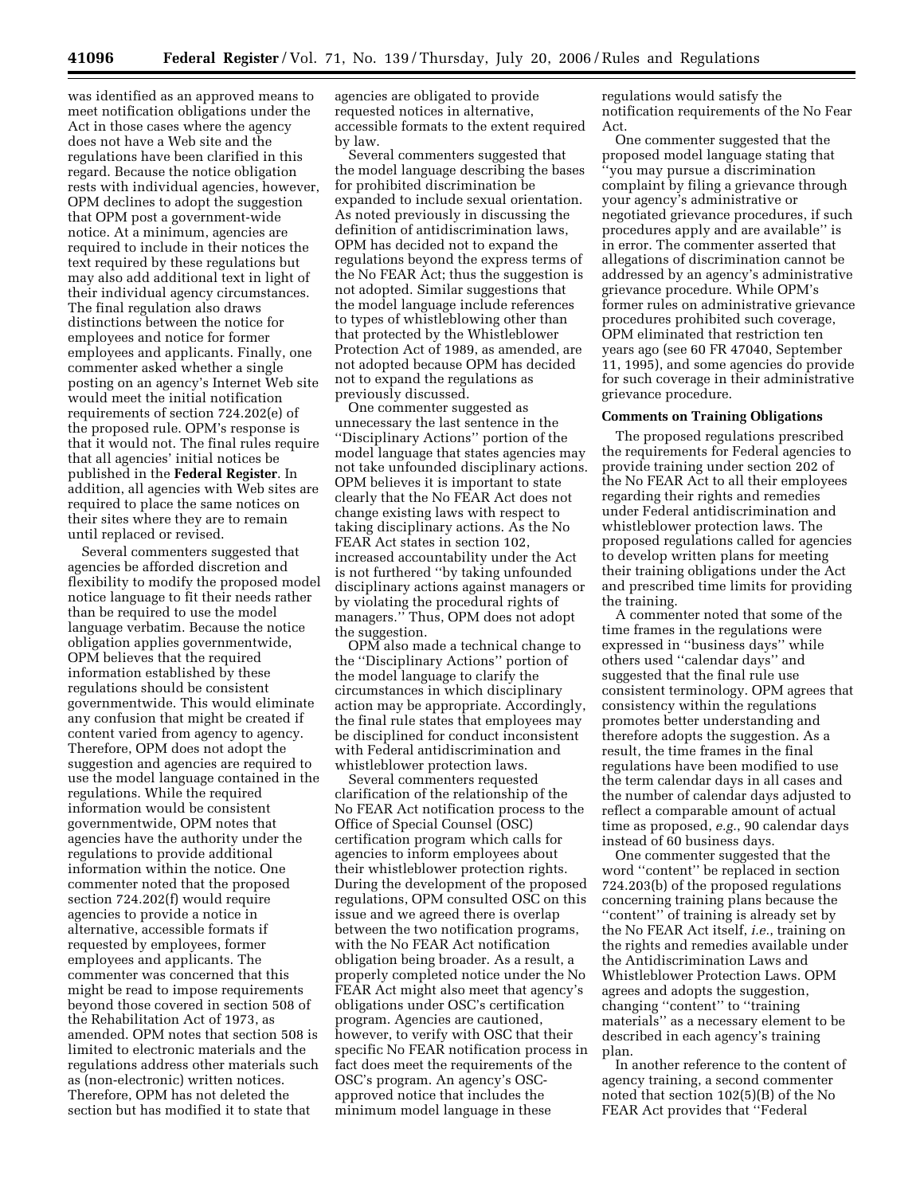was identified as an approved means to meet notification obligations under the Act in those cases where the agency does not have a Web site and the regulations have been clarified in this regard. Because the notice obligation rests with individual agencies, however, OPM declines to adopt the suggestion that OPM post a government-wide notice. At a minimum, agencies are required to include in their notices the text required by these regulations but may also add additional text in light of their individual agency circumstances. The final regulation also draws distinctions between the notice for employees and notice for former employees and applicants. Finally, one commenter asked whether a single posting on an agency's Internet Web site would meet the initial notification requirements of section 724.202(e) of the proposed rule. OPM's response is that it would not. The final rules require that all agencies' initial notices be published in the **Federal Register**. In addition, all agencies with Web sites are required to place the same notices on their sites where they are to remain until replaced or revised.

Several commenters suggested that agencies be afforded discretion and flexibility to modify the proposed model notice language to fit their needs rather than be required to use the model language verbatim. Because the notice obligation applies governmentwide, OPM believes that the required information established by these regulations should be consistent governmentwide. This would eliminate any confusion that might be created if content varied from agency to agency. Therefore, OPM does not adopt the suggestion and agencies are required to use the model language contained in the regulations. While the required information would be consistent governmentwide, OPM notes that agencies have the authority under the regulations to provide additional information within the notice. One commenter noted that the proposed section 724.202(f) would require agencies to provide a notice in alternative, accessible formats if requested by employees, former employees and applicants. The commenter was concerned that this might be read to impose requirements beyond those covered in section 508 of the Rehabilitation Act of 1973, as amended. OPM notes that section 508 is limited to electronic materials and the regulations address other materials such as (non-electronic) written notices. Therefore, OPM has not deleted the section but has modified it to state that

agencies are obligated to provide requested notices in alternative, accessible formats to the extent required by law.

Several commenters suggested that the model language describing the bases for prohibited discrimination be expanded to include sexual orientation. As noted previously in discussing the definition of antidiscrimination laws, OPM has decided not to expand the regulations beyond the express terms of the No FEAR Act; thus the suggestion is not adopted. Similar suggestions that the model language include references to types of whistleblowing other than that protected by the Whistleblower Protection Act of 1989, as amended, are not adopted because OPM has decided not to expand the regulations as previously discussed.

One commenter suggested as unnecessary the last sentence in the ''Disciplinary Actions'' portion of the model language that states agencies may not take unfounded disciplinary actions. OPM believes it is important to state clearly that the No FEAR Act does not change existing laws with respect to taking disciplinary actions. As the No FEAR Act states in section 102, increased accountability under the Act is not furthered ''by taking unfounded disciplinary actions against managers or by violating the procedural rights of managers.'' Thus, OPM does not adopt the suggestion.

OPM also made a technical change to the ''Disciplinary Actions'' portion of the model language to clarify the circumstances in which disciplinary action may be appropriate. Accordingly, the final rule states that employees may be disciplined for conduct inconsistent with Federal antidiscrimination and whistleblower protection laws.

Several commenters requested clarification of the relationship of the No FEAR Act notification process to the Office of Special Counsel (OSC) certification program which calls for agencies to inform employees about their whistleblower protection rights. During the development of the proposed regulations, OPM consulted OSC on this issue and we agreed there is overlap between the two notification programs, with the No FEAR Act notification obligation being broader. As a result, a properly completed notice under the No FEAR Act might also meet that agency's obligations under OSC's certification program. Agencies are cautioned, however, to verify with OSC that their specific No FEAR notification process in fact does meet the requirements of the OSC's program. An agency's OSCapproved notice that includes the minimum model language in these

regulations would satisfy the notification requirements of the No Fear Act.

One commenter suggested that the proposed model language stating that ''you may pursue a discrimination complaint by filing a grievance through your agency's administrative or negotiated grievance procedures, if such procedures apply and are available'' is in error. The commenter asserted that allegations of discrimination cannot be addressed by an agency's administrative grievance procedure. While OPM's former rules on administrative grievance procedures prohibited such coverage, OPM eliminated that restriction ten years ago (see 60 FR 47040, September 11, 1995), and some agencies do provide for such coverage in their administrative grievance procedure.

#### **Comments on Training Obligations**

The proposed regulations prescribed the requirements for Federal agencies to provide training under section 202 of the No FEAR Act to all their employees regarding their rights and remedies under Federal antidiscrimination and whistleblower protection laws. The proposed regulations called for agencies to develop written plans for meeting their training obligations under the Act and prescribed time limits for providing the training.

A commenter noted that some of the time frames in the regulations were expressed in ''business days'' while others used ''calendar days'' and suggested that the final rule use consistent terminology. OPM agrees that consistency within the regulations promotes better understanding and therefore adopts the suggestion. As a result, the time frames in the final regulations have been modified to use the term calendar days in all cases and the number of calendar days adjusted to reflect a comparable amount of actual time as proposed, *e.g.*, 90 calendar days instead of 60 business days.

One commenter suggested that the word ''content'' be replaced in section 724.203(b) of the proposed regulations concerning training plans because the ''content'' of training is already set by the No FEAR Act itself, *i.e.*, training on the rights and remedies available under the Antidiscrimination Laws and Whistleblower Protection Laws. OPM agrees and adopts the suggestion, changing ''content'' to ''training materials'' as a necessary element to be described in each agency's training plan.

In another reference to the content of agency training, a second commenter noted that section 102(5)(B) of the No FEAR Act provides that ''Federal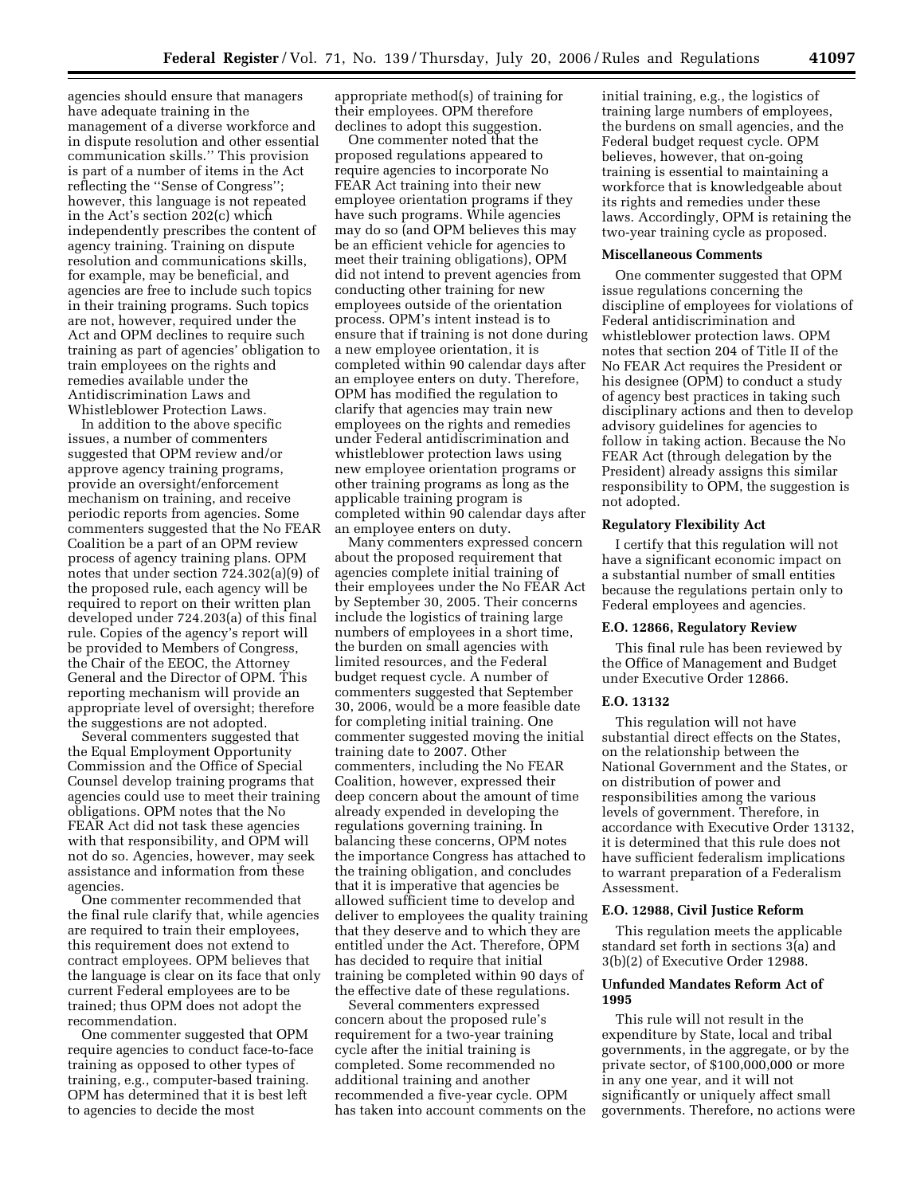agencies should ensure that managers have adequate training in the management of a diverse workforce and in dispute resolution and other essential communication skills.'' This provision is part of a number of items in the Act reflecting the ''Sense of Congress''; however, this language is not repeated in the Act's section 202(c) which independently prescribes the content of agency training. Training on dispute resolution and communications skills, for example, may be beneficial, and agencies are free to include such topics in their training programs. Such topics are not, however, required under the Act and OPM declines to require such training as part of agencies' obligation to train employees on the rights and remedies available under the Antidiscrimination Laws and Whistleblower Protection Laws.

In addition to the above specific issues, a number of commenters suggested that OPM review and/or approve agency training programs, provide an oversight/enforcement mechanism on training, and receive periodic reports from agencies. Some commenters suggested that the No FEAR Coalition be a part of an OPM review process of agency training plans. OPM notes that under section 724.302(a)(9) of the proposed rule, each agency will be required to report on their written plan developed under 724.203(a) of this final rule. Copies of the agency's report will be provided to Members of Congress, the Chair of the EEOC, the Attorney General and the Director of OPM. This reporting mechanism will provide an appropriate level of oversight; therefore the suggestions are not adopted.

Several commenters suggested that the Equal Employment Opportunity Commission and the Office of Special Counsel develop training programs that agencies could use to meet their training obligations. OPM notes that the No FEAR Act did not task these agencies with that responsibility, and OPM will not do so. Agencies, however, may seek assistance and information from these agencies.

One commenter recommended that the final rule clarify that, while agencies are required to train their employees, this requirement does not extend to contract employees. OPM believes that the language is clear on its face that only current Federal employees are to be trained; thus OPM does not adopt the recommendation.

One commenter suggested that OPM require agencies to conduct face-to-face training as opposed to other types of training, e.g., computer-based training. OPM has determined that it is best left to agencies to decide the most

appropriate method(s) of training for their employees. OPM therefore declines to adopt this suggestion.

One commenter noted that the proposed regulations appeared to require agencies to incorporate No FEAR Act training into their new employee orientation programs if they have such programs. While agencies may do so (and OPM believes this may be an efficient vehicle for agencies to meet their training obligations), OPM did not intend to prevent agencies from conducting other training for new employees outside of the orientation process. OPM's intent instead is to ensure that if training is not done during a new employee orientation, it is completed within 90 calendar days after an employee enters on duty. Therefore, OPM has modified the regulation to clarify that agencies may train new employees on the rights and remedies under Federal antidiscrimination and whistleblower protection laws using new employee orientation programs or other training programs as long as the applicable training program is completed within 90 calendar days after an employee enters on duty.

Many commenters expressed concern about the proposed requirement that agencies complete initial training of their employees under the No FEAR Act by September 30, 2005. Their concerns include the logistics of training large numbers of employees in a short time, the burden on small agencies with limited resources, and the Federal budget request cycle. A number of commenters suggested that September 30, 2006, would be a more feasible date for completing initial training. One commenter suggested moving the initial training date to 2007. Other commenters, including the No FEAR Coalition, however, expressed their deep concern about the amount of time already expended in developing the regulations governing training. In balancing these concerns, OPM notes the importance Congress has attached to the training obligation, and concludes that it is imperative that agencies be allowed sufficient time to develop and deliver to employees the quality training that they deserve and to which they are entitled under the Act. Therefore, OPM has decided to require that initial training be completed within 90 days of the effective date of these regulations.

Several commenters expressed concern about the proposed rule's requirement for a two-year training cycle after the initial training is completed. Some recommended no additional training and another recommended a five-year cycle. OPM has taken into account comments on the initial training, e.g., the logistics of training large numbers of employees, the burdens on small agencies, and the Federal budget request cycle. OPM believes, however, that on-going training is essential to maintaining a workforce that is knowledgeable about its rights and remedies under these laws. Accordingly, OPM is retaining the two-year training cycle as proposed.

#### **Miscellaneous Comments**

One commenter suggested that OPM issue regulations concerning the discipline of employees for violations of Federal antidiscrimination and whistleblower protection laws. OPM notes that section 204 of Title II of the No FEAR Act requires the President or his designee (OPM) to conduct a study of agency best practices in taking such disciplinary actions and then to develop advisory guidelines for agencies to follow in taking action. Because the No FEAR Act (through delegation by the President) already assigns this similar responsibility to OPM, the suggestion is not adopted.

#### **Regulatory Flexibility Act**

I certify that this regulation will not have a significant economic impact on a substantial number of small entities because the regulations pertain only to Federal employees and agencies.

#### **E.O. 12866, Regulatory Review**

This final rule has been reviewed by the Office of Management and Budget under Executive Order 12866.

#### **E.O. 13132**

This regulation will not have substantial direct effects on the States, on the relationship between the National Government and the States, or on distribution of power and responsibilities among the various levels of government. Therefore, in accordance with Executive Order 13132, it is determined that this rule does not have sufficient federalism implications to warrant preparation of a Federalism Assessment.

# **E.O. 12988, Civil Justice Reform**

This regulation meets the applicable standard set forth in sections 3(a) and 3(b)(2) of Executive Order 12988.

# **Unfunded Mandates Reform Act of 1995**

This rule will not result in the expenditure by State, local and tribal governments, in the aggregate, or by the private sector, of \$100,000,000 or more in any one year, and it will not significantly or uniquely affect small governments. Therefore, no actions were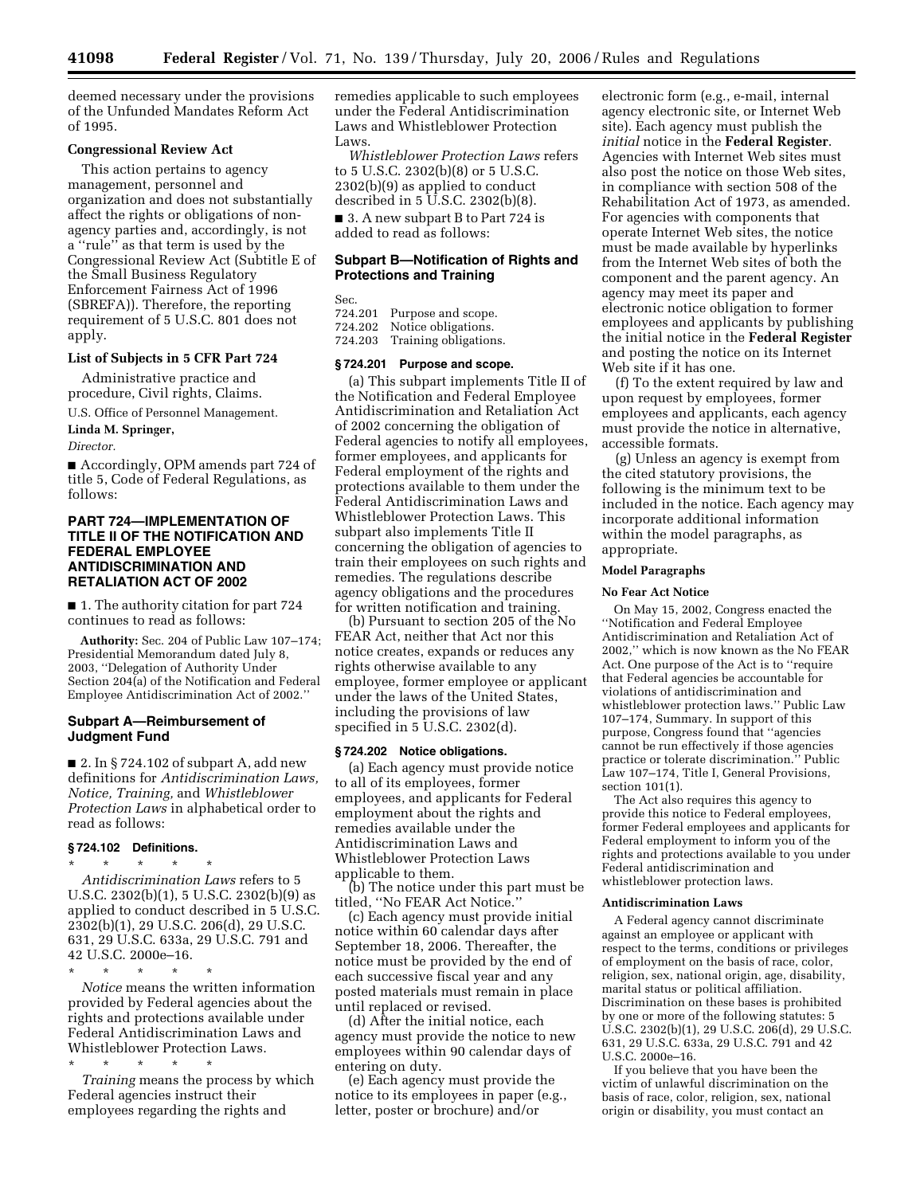deemed necessary under the provisions of the Unfunded Mandates Reform Act of 1995.

#### **Congressional Review Act**

This action pertains to agency management, personnel and organization and does not substantially affect the rights or obligations of nonagency parties and, accordingly, is not a ''rule'' as that term is used by the Congressional Review Act (Subtitle E of the Small Business Regulatory Enforcement Fairness Act of 1996 (SBREFA)). Therefore, the reporting requirement of 5 U.S.C. 801 does not apply.

# **List of Subjects in 5 CFR Part 724**

Administrative practice and procedure, Civil rights, Claims.

U.S. Office of Personnel Management.

# **Linda M. Springer,**

*Director.* 

■ Accordingly, OPM amends part 724 of title 5, Code of Federal Regulations, as follows:

# **PART 724—IMPLEMENTATION OF TITLE II OF THE NOTIFICATION AND FEDERAL EMPLOYEE ANTIDISCRIMINATION AND RETALIATION ACT OF 2002**

■ 1. The authority citation for part 724 continues to read as follows:

**Authority:** Sec. 204 of Public Law 107–174; Presidential Memorandum dated July 8, 2003, ''Delegation of Authority Under Section 204(a) of the Notification and Federal Employee Antidiscrimination Act of 2002.''

#### **Subpart A—Reimbursement of Judgment Fund**

 $\blacksquare$  2. In § 724.102 of subpart A, add new definitions for *Antidiscrimination Laws, Notice, Training,* and *Whistleblower Protection Laws* in alphabetical order to read as follows:

#### **§ 724.102 Definitions.**

\* \* \* \* \* *Antidiscrimination Laws* refers to 5 U.S.C. 2302(b)(1), 5 U.S.C. 2302(b)(9) as applied to conduct described in 5 U.S.C. 2302(b)(1), 29 U.S.C. 206(d), 29 U.S.C. 631, 29 U.S.C. 633a, 29 U.S.C. 791 and 42 U.S.C. 2000e–16.

\* \* \* \* \* *Notice* means the written information provided by Federal agencies about the rights and protections available under Federal Antidiscrimination Laws and Whistleblower Protection Laws.

\* \* \* \* \* *Training* means the process by which

Federal agencies instruct their employees regarding the rights and remedies applicable to such employees under the Federal Antidiscrimination Laws and Whistleblower Protection Laws.

*Whistleblower Protection Laws* refers to 5 U.S.C. 2302(b)(8) or 5 U.S.C. 2302(b)(9) as applied to conduct described in 5 U.S.C. 2302(b)(8).

■ 3. A new subpart B to Part 724 is added to read as follows:

# **Subpart B—Notification of Rights and Protections and Training**

Sec.<br>724.201 724.201 Purpose and scope.

Notice obligations.

724.203 Training obligations.

#### **§ 724.201 Purpose and scope.**

(a) This subpart implements Title II of the Notification and Federal Employee Antidiscrimination and Retaliation Act of 2002 concerning the obligation of Federal agencies to notify all employees, former employees, and applicants for Federal employment of the rights and protections available to them under the Federal Antidiscrimination Laws and Whistleblower Protection Laws. This subpart also implements Title II concerning the obligation of agencies to train their employees on such rights and remedies. The regulations describe agency obligations and the procedures for written notification and training.

(b) Pursuant to section 205 of the No FEAR Act, neither that Act nor this notice creates, expands or reduces any rights otherwise available to any employee, former employee or applicant under the laws of the United States, including the provisions of law specified in 5 U.S.C. 2302(d).

#### **§ 724.202 Notice obligations.**

(a) Each agency must provide notice to all of its employees, former employees, and applicants for Federal employment about the rights and remedies available under the Antidiscrimination Laws and Whistleblower Protection Laws applicable to them.

(b) The notice under this part must be titled, ''No FEAR Act Notice.''

(c) Each agency must provide initial notice within 60 calendar days after September 18, 2006. Thereafter, the notice must be provided by the end of each successive fiscal year and any posted materials must remain in place until replaced or revised.

(d) After the initial notice, each agency must provide the notice to new employees within 90 calendar days of entering on duty.

(e) Each agency must provide the notice to its employees in paper (e.g., letter, poster or brochure) and/or

electronic form (e.g., e-mail, internal agency electronic site, or Internet Web site). Each agency must publish the *initial* notice in the **Federal Register**. Agencies with Internet Web sites must also post the notice on those Web sites, in compliance with section 508 of the Rehabilitation Act of 1973, as amended. For agencies with components that operate Internet Web sites, the notice must be made available by hyperlinks from the Internet Web sites of both the component and the parent agency. An agency may meet its paper and electronic notice obligation to former employees and applicants by publishing the initial notice in the **Federal Register**  and posting the notice on its Internet Web site if it has one.

(f) To the extent required by law and upon request by employees, former employees and applicants, each agency must provide the notice in alternative, accessible formats.

(g) Unless an agency is exempt from the cited statutory provisions, the following is the minimum text to be included in the notice. Each agency may incorporate additional information within the model paragraphs, as appropriate.

## **Model Paragraphs**

#### **No Fear Act Notice**

On May 15, 2002, Congress enacted the ''Notification and Federal Employee Antidiscrimination and Retaliation Act of 2002,'' which is now known as the No FEAR Act. One purpose of the Act is to ''require that Federal agencies be accountable for violations of antidiscrimination and whistleblower protection laws.'' Public Law 107–174, Summary. In support of this purpose, Congress found that ''agencies cannot be run effectively if those agencies practice or tolerate discrimination.'' Public Law 107–174, Title I, General Provisions, section 101(1).

The Act also requires this agency to provide this notice to Federal employees, former Federal employees and applicants for Federal employment to inform you of the rights and protections available to you under Federal antidiscrimination and whistleblower protection laws.

#### **Antidiscrimination Laws**

A Federal agency cannot discriminate against an employee or applicant with respect to the terms, conditions or privileges of employment on the basis of race, color, religion, sex, national origin, age, disability, marital status or political affiliation. Discrimination on these bases is prohibited by one or more of the following statutes: 5 U.S.C. 2302(b)(1), 29 U.S.C. 206(d), 29 U.S.C. 631, 29 U.S.C. 633a, 29 U.S.C. 791 and 42 U.S.C. 2000e–16.

If you believe that you have been the victim of unlawful discrimination on the basis of race, color, religion, sex, national origin or disability, you must contact an